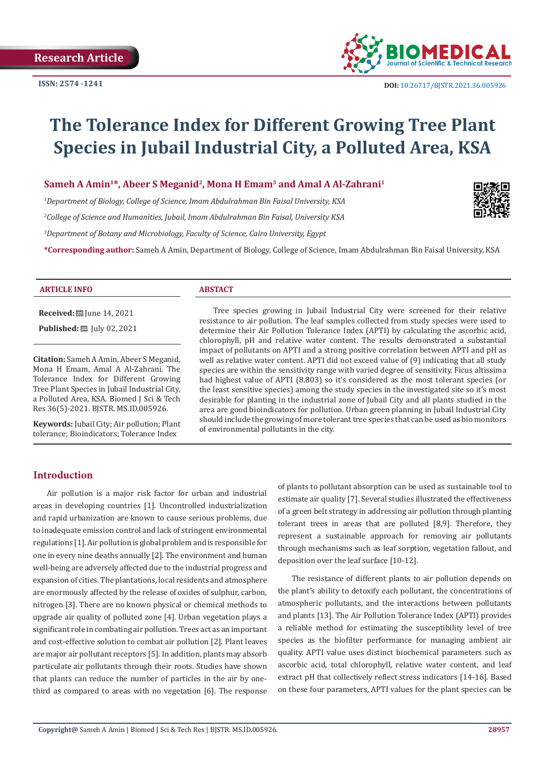

# **The Tolerance Index for Different Growing Tree Plant Species in Jubail Industrial City, a Polluted Area, KSA**

# **Sameh A Amin1\*, Abeer S Meganid2, Mona H Emam3 and Amal A Al-Zahrani1**

*1 Department of Biology, College of Science, Imam Abdulrahman Bin Faisal University, KSA 2 College of Science and Humanities, Jubail, Imam Abdulrahman Bin Faisal, University KSA*

*3 Department of Botany and Microbiology, Faculty of Science, Cairo University, Egypt*

**\*Corresponding author:** Sameh A Amin, Department of Biology, College of Science, Imam Abdulrahman Bin Faisal University, KSA



#### **ARTICLE INFO ABSTACT**

**Received:** ■ June 14, 2021

**Published:** ■ July 02, 2021

**Citation:** Sameh A Amin, Abeer S Meganid, Mona H Emam, Amal A Al-Zahrani. The Tolerance Index for Different Growing Tree Plant Species in Jubail Industrial City, a Polluted Area, KSA. Biomed J Sci & Tech Res 36(5)-2021. BJSTR. MS.ID.005926.

**Keywords:** Jubail City; Air pollution; Plant tolerance; Bioindicators; Tolerance Index

Tree species growing in Jubail Industrial City were screened for their relative resistance to air pollution. The leaf samples collected from study species were used to determine their Air Pollution Tolerance Index (APTI) by calculating the ascorbic acid, chlorophyll, pH and relative water content. The results demonstrated a substantial impact of pollutants on APTI and a strong positive correlation between APTI and pH as well as relative water content. APTI did not exceed value of (9) indicating that all study species are within the sensitivity range with varied degree of sensitivity. Ficus altissima had highest value of APTI (8.803) so it's considered as the most tolerant species (or the least sensitive species) among the study species in the investigated site so it's most desirable for planting in the industrial zone of Jubail City and all plants studied in the area are good bioindicators for pollution. Urban green planning in Jubail Industrial City should include the growing of more tolerant tree species that can be used as bio monitors of environmental pollutants in the city.

# **Introduction**

Air pollution is a major risk factor for urban and industrial areas in developing countries [1]. Uncontrolled industrialization and rapid urbanization are known to cause serious problems, due to inadequate emission control and lack of stringent environmental regulations [1]. Air pollution is global problem and is responsible for one in every nine deaths annually [2]. The environment and human well-being are adversely affected due to the industrial progress and expansion of cities. The plantations, local residents and atmosphere are enormously affected by the release of oxides of sulphur, carbon, nitrogen [3]. There are no known physical or chemical methods to upgrade air quality of polluted zone [4]. Urban vegetation plays a significant role in combating air pollution. Trees act as an important and cost-effective solution to combat air pollution [2]. Plant leaves are major air pollutant receptors [5]. In addition, plants may absorb particulate air pollutants through their roots. Studies have shown that plants can reduce the number of particles in the air by onethird as compared to areas with no vegetation [6]. The response

of plants to pollutant absorption can be used as sustainable tool to estimate air quality [7]. Several studies illustrated the effectiveness of a green belt strategy in addressing air pollution through planting tolerant trees in areas that are polluted [8,9]. Therefore, they represent a sustainable approach for removing air pollutants through mechanisms such as leaf sorption, vegetation fallout, and deposition over the leaf surface [10-12].

The resistance of different plants to air pollution depends on the plant's ability to detoxify each pollutant, the concentrations of atmospheric pollutants, and the interactions between pollutants and plants [13]. The Air Pollution Tolerance Index (APTI) provides a reliable method for estimating the susceptibility level of tree species as the biofilter performance for managing ambient air quality. APTI value uses distinct biochemical parameters such as ascorbic acid, total chlorophyll, relative water content, and leaf extract pH that collectively reflect stress indicators [14-16]. Based on these four parameters, APTI values for the plant species can be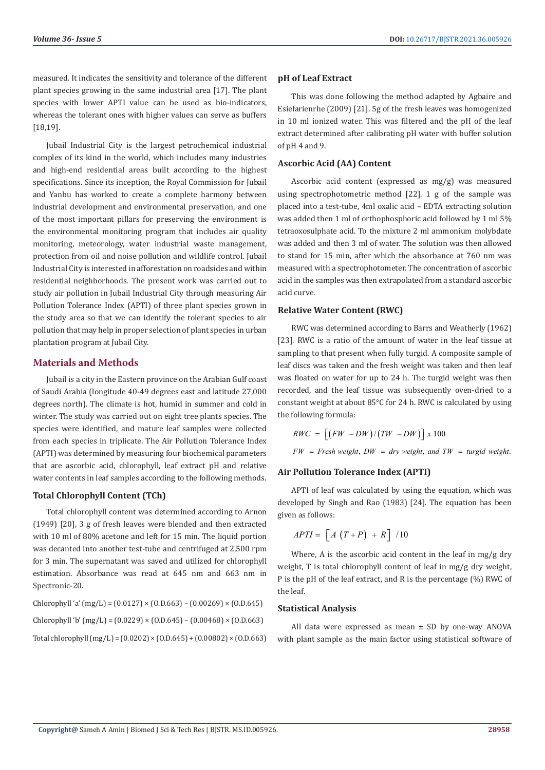measured. It indicates the sensitivity and tolerance of the different plant species growing in the same industrial area [17]. The plant species with lower APTI value can be used as bio-indicators, whereas the tolerant ones with higher values can serve as buffers [18,19].

Jubail Industrial City is the largest petrochemical industrial complex of its kind in the world, which includes many industries and high-end residential areas built according to the highest specifications. Since its inception, the Royal Commission for Jubail and Yanbu has worked to create a complete harmony between industrial development and environmental preservation, and one of the most important pillars for preserving the environment is the environmental monitoring program that includes air quality monitoring, meteorology, water industrial waste management, protection from oil and noise pollution and wildlife control. Jubail Industrial City is interested in afforestation on roadsides and within residential neighborhoods. The present work was carried out to study air pollution in Jubail Industrial City through measuring Air Pollution Tolerance Index (APTI) of three plant species grown in the study area so that we can identify the tolerant species to air pollution that may help in proper selection of plant species in urban plantation program at Jubail City.

# **Materials and Methods**

Jubail is a city in the Eastern province on the Arabian Gulf coast of Saudi Arabia (longitude 40-49 degrees east and latitude 27,000 degrees north). The climate is hot, humid in summer and cold in winter. The study was carried out on eight tree plants species. The species were identified, and mature leaf samples were collected from each species in triplicate. The Air Pollution Tolerance Index (APTI) was determined by measuring four biochemical parameters that are ascorbic acid, chlorophyll, leaf extract pH and relative water contents in leaf samples according to the following methods.

# **Total Chlorophyll Content (TCh)**

Total chlorophyll content was determined according to Arnon (1949) [20], 3 g of fresh leaves were blended and then extracted with 10 ml of 80% acetone and left for 15 min. The liquid portion was decanted into another test-tube and centrifuged at 2,500 rpm for 3 min. The supernatant was saved and utilized for chlorophyll estimation. Absorbance was read at 645 nm and 663 nm in Spectronic-20.

Chlorophyll 'a' (mg/L) =  $(0.0127) \times (0.0.663) - (0.00269) \times (0.0.645)$ Chlorophyll 'b' (mg/L) =  $(0.0229) \times (0.0.645) - (0.00468) \times (0.0.663)$ Total chlorophyll (mg/L) = (0.0202) × (O.D.645) + (0.00802) × (O.D.663)

## **pH of Leaf Extract**

This was done following the method adapted by Agbaire and Esiefarienrhe (2009) [21]. 5g of the fresh leaves was homogenized in 10 ml ionized water. This was filtered and the pH of the leaf extract determined after calibrating pH water with buffer solution of pH 4 and 9.

# **Ascorbic Acid (AA) Content**

Ascorbic acid content (expressed as mg/g) was measured using spectrophotometric method [22]. 1 g of the sample was placed into a test-tube, 4ml oxalic acid – EDTA extracting solution was added then 1 ml of orthophosphoric acid followed by 1 ml 5% tetraoxosulphate acid. To the mixture 2 ml ammonium molybdate was added and then 3 ml of water. The solution was then allowed to stand for 15 min, after which the absorbance at 760 nm was measured with a spectrophotometer. The concentration of ascorbic acid in the samples was then extrapolated from a standard ascorbic acid curve.

# **Relative Water Content (RWC)**

RWC was determined according to Barrs and Weatherly (1962) [23]. RWC is a ratio of the amount of water in the leaf tissue at sampling to that present when fully turgid. A composite sample of leaf discs was taken and the fresh weight was taken and then leaf was floated on water for up to 24 h. The turgid weight was then recorded, and the leaf tissue was subsequently oven-dried to a constant weight at about 85°C for 24 h. RWC is calculated by using the following formula:

$$
RWC = \left[ (FW - DW) / (TW - DW) \right] x 100
$$
  
FW = Fresh weight, DW = dry weight, and TW = turgid weight.

# **Air Pollution Tolerance Index (APTI)**

APTI of leaf was calculated by using the equation, which was developed by Singh and Rao (1983) [24]. The equation has been given as follows:

$$
APTI = \left[A\left(T+P\right) + R\right]/10
$$

Where, A is the ascorbic acid content in the leaf in mg/g dry weight, T is total chlorophyll content of leaf in mg/g dry weight, P is the pH of the leaf extract, and R is the percentage (%) RWC of the leaf.

# **Statistical Analysis**

All data were expressed as mean ± SD by one-way ANOVA with plant sample as the main factor using statistical software of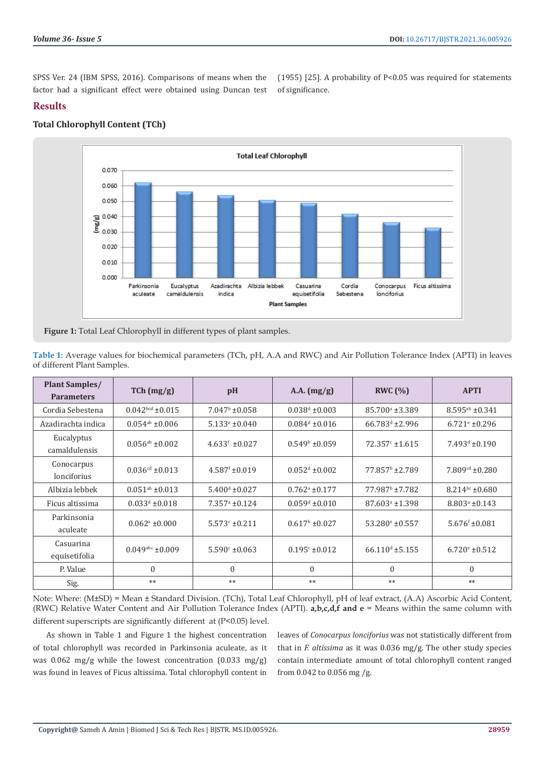SPSS Ver. 24 (IBM SPSS, 2016). Comparisons of means when the factor had a significant effect were obtained using Duncan test

(1955) [25]. A probability of P<0.05 was required for statements of significance.

# **Results**



# **Total Chlorophyll Content (TCh)**

**Figure 1:** Total Leaf Chlorophyll in different types of plant samples.

**Table 1:** Average values for biochemical parameters (TCh, pH, A.A and RWC) and Air Pollution Tolerance Index (APTI) in leaves of different Plant Samples.

| <b>Plant Samples/</b><br><b>Parameters</b> | TCh (mg/g)                    | pH                        | A.A. $(mg/g)$               | RWC $(% )$                   | <b>APTI</b>                 |
|--------------------------------------------|-------------------------------|---------------------------|-----------------------------|------------------------------|-----------------------------|
| Cordia Sebestena                           | $0.042bcd \pm 0.015$          | $7.047b \pm 0.058$        | $0.038^d \pm 0.003$         | $85.700^{\circ}$ ±3.389      | $8.595^{ab} \pm 0.341$      |
| Azadirachta indica                         | $0.054$ <sup>ab</sup> ±0.006  | $5.133^{\circ}$ ±0.040    | $0.084^d \pm 0.016$         | $66.783^{d}$ ±2.996          | $6.721$ <sup>e</sup> ±0.296 |
| Eucalyptus<br>camaldulensis                | $0.056^{ab} \pm 0.002$        | $4.633f \pm 0.027$        | $0.549b \pm 0.059$          | $72.357c + 1.615$            | $7.493d \pm 0.190$          |
| Conocarpus<br>lonciforius                  | $0.036$ <sup>cd</sup> ±0.013  | $4.587f \pm 0.019$        | $0.052^d \pm 0.002$         | 77.857 <sup>b</sup> ±2.789   | $7.809cd \pm 0.280$         |
| Albizia lebbek                             | $0.051ab \pm 0.013$           | $5.400^{\text{d}}$ ±0.027 | $0.762$ <sup>a</sup> ±0.177 | 77.987 <sup>b</sup> ±7.782   | $8.214^{bc} \pm 0.680$      |
| Ficus altissima                            | $0.033^d \pm 0.018$           | $7.357^{\circ}$ ±0.124    | $0.059d \pm 0.010$          | $87.603$ <sup>a</sup> ±1.398 | $8.803^a \pm 0.143$         |
| Parkinsonia<br>aculeate                    | $0.062$ <sup>a</sup> ±0.000   | $5.573c \pm 0.211$        | $0.617b \pm 0.027$          | $53.280$ <sup>e</sup> ±0.557 | $5.676f \pm 0.081$          |
| Casuarina<br>equisetifolia                 | $0.049$ <sup>abc</sup> ±0.009 | $5.590^{\circ}$ ±0.063    | $0.195c \pm 0.012$          | $66.110^{d}$ ±5.155          | $6.720^{\circ}$ ±0.512      |
| P. Value                                   | $\Omega$                      | $\mathbf{0}$              | $\Omega$                    | $\mathbf{0}$                 | $\mathbf{0}$                |
| Sig.                                       | $**$                          | $**$                      | $**$                        | $**$                         | $**$                        |

Note: Where: (M±SD) = Mean ± Standard Division. (TCh), Total Leaf Chlorophyll, pH of leaf extract, (A.A) Ascorbic Acid Content, (RWC) Relative Water Content and Air Pollution Tolerance Index (APTI). **a,b,c,d,f and e** = Means within the same column with different superscripts are significantly different at (P<0.05) level.

As shown in Table 1 and Figure 1 the highest concentration of total chlorophyll was recorded in Parkinsonia aculeate, as it was 0.062 mg/g while the lowest concentration (0.033 mg/g) was found in leaves of Ficus altissima. Total chlorophyll content in

leaves of *Conocarpus lonciforius* was not statistically different from that in *F. altissima* as it was 0.036 mg/g. The other study species contain intermediate amount of total chlorophyll content ranged from 0.042 to 0.056 mg /g.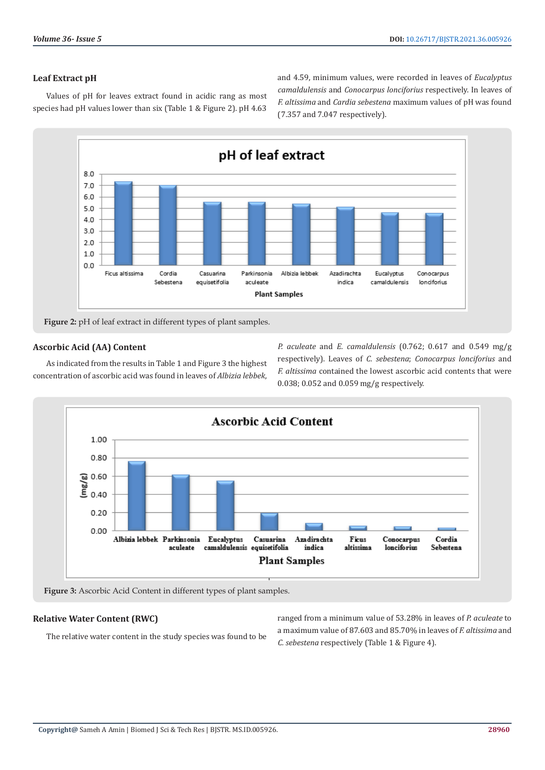# **Leaf Extract pH**

Values of pH for leaves extract found in acidic rang as most species had pH values lower than six (Table 1 & Figure 2). pH 4.63 and 4.59, minimum values, were recorded in leaves of *Eucalyptus camaldulensis* and *Conocarpus lonciforius* respectively. In leaves of *F. altissima* and *Cardia sebestena* maximum values of pH was found (7.357 and 7.047 respectively).



**Figure 2:** pH of leaf extract in different types of plant samples.

# **Ascorbic Acid (AA) Content**

As indicated from the results in Table 1 and Figure 3 the highest concentration of ascorbic acid was found in leaves of *Albizia lebbek*,

*P. aculeate* and *E. camaldulensis* (0.762; 0.617 and 0.549 mg/g respectively). Leaves of *C. sebestena*; *Conocarpus lonciforius* and *F. altissima* contained the lowest ascorbic acid contents that were 0.038; 0.052 and 0.059 mg/g respectively.



**Figure 3:** Ascorbic Acid Content in different types of plant samples.

# **Relative Water Content (RWC)**

The relative water content in the study species was found to be

ranged from a minimum value of 53.28% in leaves of *P. aculeate* to a maximum value of 87.603 and 85.70% in leaves of *F. altissima* and *C. sebestena* respectively (Table 1 & Figure 4).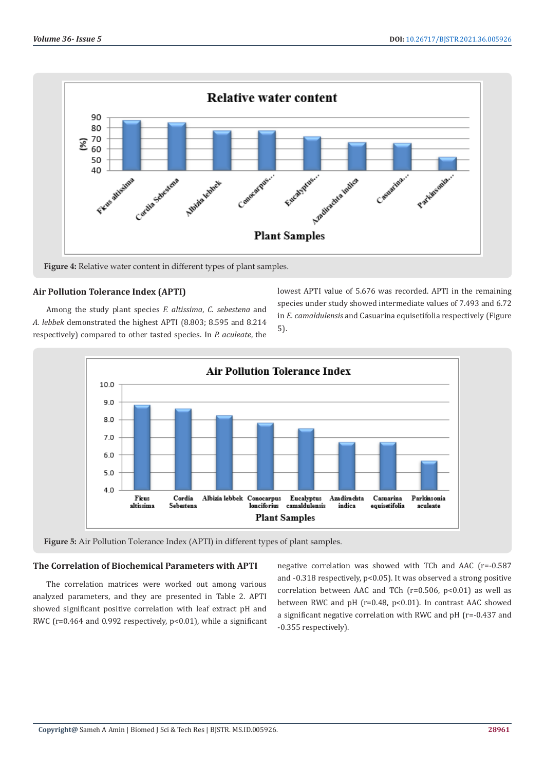

**Figure 4:** Relative water content in different types of plant samples.

# **Air Pollution Tolerance Index (APTI)**

Among the study plant species *F. altissima*, *C. sebestena* and *A. lebbek* demonstrated the highest APTI (8.803; 8.595 and 8.214 respectively) compared to other tasted species. In *P. aculeate*, the lowest APTI value of 5.676 was recorded. APTI in the remaining species under study showed intermediate values of 7.493 and 6.72 in *E. camaldulensis* and Casuarina equisetifolia respectively (Figure 5).



**Figure 5:** Air Pollution Tolerance Index (APTI) in different types of plant samples.

# **The Correlation of Biochemical Parameters with APTI**

The correlation matrices were worked out among various analyzed parameters, and they are presented in Table 2. APTI showed significant positive correlation with leaf extract pH and RWC (r=0.464 and 0.992 respectively, p<0.01), while a significant negative correlation was showed with TCh and AAC (r=-0.587 and -0.318 respectively, p<0.05). It was observed a strong positive correlation between AAC and TCh  $(r=0.506, p<0.01)$  as well as between RWC and pH (r=0.48, p<0.01). In contrast AAC showed a significant negative correlation with RWC and pH (r=-0.437 and -0.355 respectively).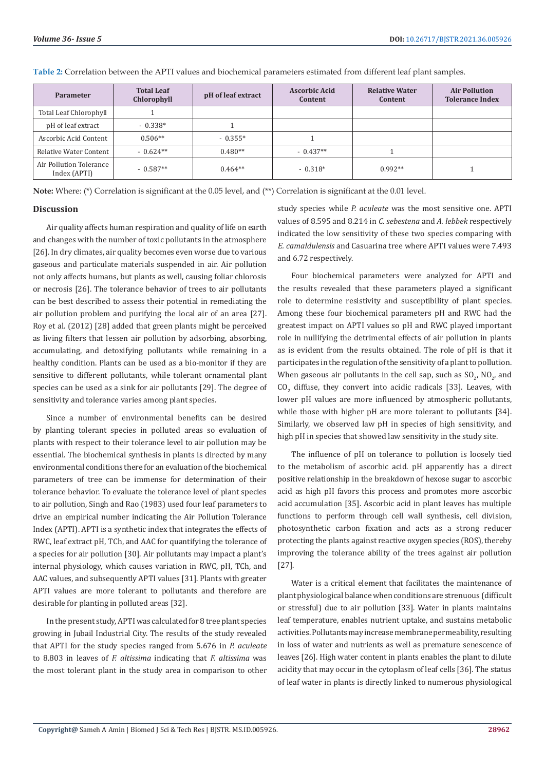| Parameter                               | <b>Total Leaf</b><br>Chlorophyll | pH of leaf extract | <b>Ascorbic Acid</b><br>Content | <b>Relative Water</b><br>Content | <b>Air Pollution</b><br><b>Tolerance Index</b> |
|-----------------------------------------|----------------------------------|--------------------|---------------------------------|----------------------------------|------------------------------------------------|
| Total Leaf Chlorophyll                  |                                  |                    |                                 |                                  |                                                |
| pH of leaf extract                      | $-0.338*$                        |                    |                                 |                                  |                                                |
| Ascorbic Acid Content                   | $0.506**$                        | $-0.355*$          |                                 |                                  |                                                |
| Relative Water Content                  | $-0.624**$                       | $0.480**$          | $-0.437**$                      |                                  |                                                |
| Air Pollution Tolerance<br>Index (APTI) | $-0.587**$                       | $0.464**$          | $-0.318*$                       | $0.992**$                        |                                                |

**Table 2:** Correlation between the APTI values and biochemical parameters estimated from different leaf plant samples.

**Note:** Where: (\*) Correlation is significant at the 0.05 level, and (\*\*) Correlation is significant at the 0.01 level.

#### **Discussion**

Air quality affects human respiration and quality of life on earth and changes with the number of toxic pollutants in the atmosphere [26]. In dry climates, air quality becomes even worse due to various gaseous and particulate materials suspended in air. Air pollution not only affects humans, but plants as well, causing foliar chlorosis or necrosis [26]. The tolerance behavior of trees to air pollutants can be best described to assess their potential in remediating the air pollution problem and purifying the local air of an area [27]. Roy et al. (2012) [28] added that green plants might be perceived as living filters that lessen air pollution by adsorbing, absorbing, accumulating, and detoxifying pollutants while remaining in a healthy condition. Plants can be used as a bio-monitor if they are sensitive to different pollutants, while tolerant ornamental plant species can be used as a sink for air pollutants [29]. The degree of sensitivity and tolerance varies among plant species.

Since a number of environmental benefits can be desired by planting tolerant species in polluted areas so evaluation of plants with respect to their tolerance level to air pollution may be essential. The biochemical synthesis in plants is directed by many environmental conditions there for an evaluation of the biochemical parameters of tree can be immense for determination of their tolerance behavior. To evaluate the tolerance level of plant species to air pollution, Singh and Rao (1983) used four leaf parameters to drive an empirical number indicating the Air Pollution Tolerance Index (APTI). APTI is a synthetic index that integrates the effects of RWC, leaf extract pH, TCh, and AAC for quantifying the tolerance of a species for air pollution [30]. Air pollutants may impact a plant's internal physiology, which causes variation in RWC, pH, TCh, and AAC values, and subsequently APTI values [31]. Plants with greater APTI values are more tolerant to pollutants and therefore are desirable for planting in polluted areas [32].

In the present study, APTI was calculated for 8 tree plant species growing in Jubail Industrial City. The results of the study revealed that APTI for the study species ranged from 5.676 in *P. aculeate*  to 8.803 in leaves of *F. altissima* indicating that *F. altissima* was the most tolerant plant in the study area in comparison to other study species while *P. aculeate* was the most sensitive one. APTI values of 8.595 and 8.214 in *C. sebestena* and *A. lebbek* respectively indicated the low sensitivity of these two species comparing with *E. camaldulensis* and Casuarina tree where APTI values were 7.493 and 6.72 respectively.

Four biochemical parameters were analyzed for APTI and the results revealed that these parameters played a significant role to determine resistivity and susceptibility of plant species. Among these four biochemical parameters pH and RWC had the greatest impact on APTI values so pH and RWC played important role in nullifying the detrimental effects of air pollution in plants as is evident from the results obtained. The role of pH is that it participates in the regulation of the sensitivity of a plant to pollution. When gaseous air pollutants in the cell sap, such as  $SO_{2'}$  N $O_{2'}$  and  $CO<sub>2</sub>$  diffuse, they convert into acidic radicals [33]. Leaves, with lower pH values are more influenced by atmospheric pollutants, while those with higher pH are more tolerant to pollutants [34]. Similarly, we observed law pH in species of high sensitivity, and high pH in species that showed law sensitivity in the study site.

The influence of pH on tolerance to pollution is loosely tied to the metabolism of ascorbic acid. pH apparently has a direct positive relationship in the breakdown of hexose sugar to ascorbic acid as high pH favors this process and promotes more ascorbic acid accumulation [35]. Ascorbic acid in plant leaves has multiple functions to perform through cell wall synthesis, cell division, photosynthetic carbon fixation and acts as a strong reducer protecting the plants against reactive oxygen species (ROS), thereby improving the tolerance ability of the trees against air pollution [27].

Water is a critical element that facilitates the maintenance of plant physiological balance when conditions are strenuous (difficult or stressful) due to air pollution [33]. Water in plants maintains leaf temperature, enables nutrient uptake, and sustains metabolic activities. Pollutants may increase membrane permeability, resulting in loss of water and nutrients as well as premature senescence of leaves [26]. High water content in plants enables the plant to dilute acidity that may occur in the cytoplasm of leaf cells [36]. The status of leaf water in plants is directly linked to numerous physiological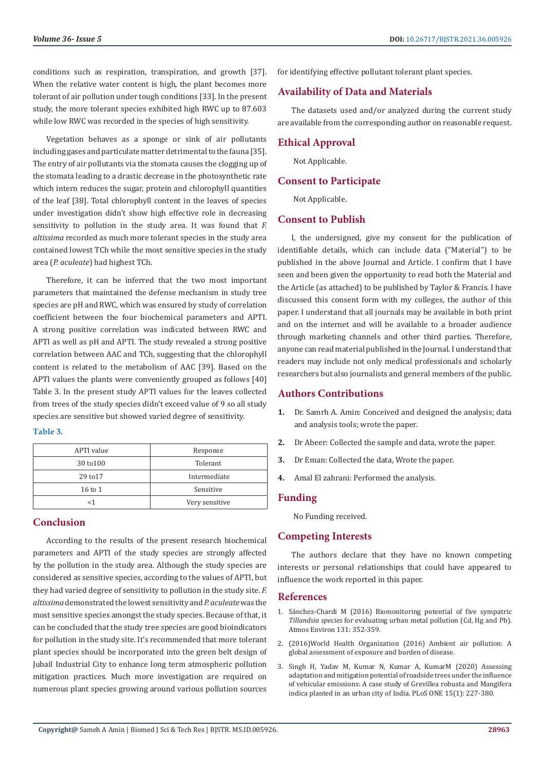conditions such as respiration, transpiration, and growth [37]. When the relative water content is high, the plant becomes more tolerant of air pollution under tough conditions [33]. In the present study, the more tolerant species exhibited high RWC up to 87.603 while low RWC was recorded in the species of high sensitivity.

Vegetation behaves as a sponge or sink of air pollutants including gases and particulate matter detrimental to the fauna [35]. The entry of air pollutants via the stomata causes the clogging up of the stomata leading to a drastic decrease in the photosynthetic rate which intern reduces the sugar, protein and chlorophyll quantities of the leaf [38]. Total chlorophyll content in the leaves of species under investigation didn't show high effective role in decreasing sensitivity to pollution in the study area. It was found that *F. altissima* recorded as much more tolerant species in the study area contained lowest TCh while the most sensitive species in the study area (*P. aculeate*) had highest TCh.

Therefore, it can be inferred that the two most important parameters that maintained the defense mechanism in study tree species are pH and RWC, which was ensured by study of correlation coefficient between the four biochemical parameters and APTI. A strong positive correlation was indicated between RWC and APTI as well as pH and APTI. The study revealed a strong positive correlation between AAC and TCh, suggesting that the chlorophyll content is related to the metabolism of AAC [39]. Based on the APTI values the plants were conveniently grouped as follows [40] Table 3. In the present study APTI values for the leaves collected from trees of the study species didn't exceed value of 9 so all study species are sensitive but showed varied degree of sensitivity.

#### **Table 3.**

| APTI value         | Response       |  |  |
|--------------------|----------------|--|--|
| 30 to 100          | Tolerant       |  |  |
| 29 to 17           | Intermediate   |  |  |
| $16 \text{ to } 1$ | Sensitive      |  |  |
| <1                 | Very sensitive |  |  |

# **Conclusion**

According to the results of the present research biochemical parameters and APTI of the study species are strongly affected by the pollution in the study area. Although the study species are considered as sensitive species, according to the values of APTI, but they had varied degree of sensitivity to pollution in the study site. *F. altissima* demonstrated the lowest sensitivity and *P. aculeate* was the most sensitive species amongst the study species. Because of that, it can be concluded that the study tree species are good bioindicators for pollution in the study site. It's recommended that more tolerant plant species should be incorporated into the green belt design of Jubail Industrial City to enhance long term atmospheric pollution mitigation practices. Much more investigation are required on numerous plant species growing around various pollution sources

for identifying effective pollutant tolerant plant species.

# **Availability of Data and Materials**

The datasets used and/or analyzed during the current study are available from the corresponding author on reasonable request.

# **Ethical Approval**

Not Applicable.

# **Consent to Participate**

Not Applicable.

# **Consent to Publish**

I, the undersigned, give my consent for the publication of identifiable details, which can include data ("Material") to be published in the above Journal and Article. I confirm that I have seen and been given the opportunity to read both the Material and the Article (as attached) to be published by Taylor & Francis. I have discussed this consent form with my colleges, the author of this paper. I understand that all journals may be available in both print and on the internet and will be available to a broader audience through marketing channels and other third parties. Therefore, anyone can read material published in the Journal. I understand that readers may include not only medical professionals and scholarly researchers but also journalists and general members of the public.

# **Authors Contributions**

- **1.** Dr. Samrh A. Amin: Conceived and designed the analysis; data and analysis tools; wrote the paper.
- **2.** Dr Abeer: Collected the sample and data, wrote the paper.
- **3.** Dr Eman: Collected the data, Wrote the paper.
- **4.** Amal El zahrani: Performed the analysis.

# **Funding**

No Funding received.

#### **Competing Interests**

The authors declare that they have no known competing interests or personal relationships that could have appeared to influence the work reported in this paper.

#### **References**

- 1. Sá[nchez-Chardi M \(2016\) Biomonitoring potential of five sympatric](https://ui.adsabs.harvard.edu/abs/2016AtmEn.131..352S/abstract) *Tillandsia species* [for evaluating urban metal pollution \(Cd, Hg and Pb\).](https://ui.adsabs.harvard.edu/abs/2016AtmEn.131..352S/abstract) [Atmos Environ 131: 352-359.](https://ui.adsabs.harvard.edu/abs/2016AtmEn.131..352S/abstract)
- 2. [\(2016\)World Health Organization \(2016\) Ambient air pollution: A](file:///F:/Journals/BJSTR.MS.ID.005926/BJSTR-GAS-21-RA-169_W/BJSTR-GAS-21-RA-169_W/1.%09http:/origin.who.int/phe/publications/air-pollution-globalassessment/%20en/%20(accessed%203%20November%202018).) [global assessment of exposure and burden of disease.](file:///F:/Journals/BJSTR.MS.ID.005926/BJSTR-GAS-21-RA-169_W/BJSTR-GAS-21-RA-169_W/1.%09http:/origin.who.int/phe/publications/air-pollution-globalassessment/%20en/%20(accessed%203%20November%202018).)
- 3. [Singh H, Yadav M, Kumar N, Kumar A, KumarM \(2020\) Assessing](https://journals.plos.org/plosone/article?id=10.1371/journal.pone.0227380) [adaptation and mitigation potential of roadside trees under the influence](https://journals.plos.org/plosone/article?id=10.1371/journal.pone.0227380) [of vehicular emissions: A case study of Grevillea robusta and Mangifera](https://journals.plos.org/plosone/article?id=10.1371/journal.pone.0227380) [indica planted in an urban city of India. PLoS ONE 15\(1\): 227-380.](https://journals.plos.org/plosone/article?id=10.1371/journal.pone.0227380)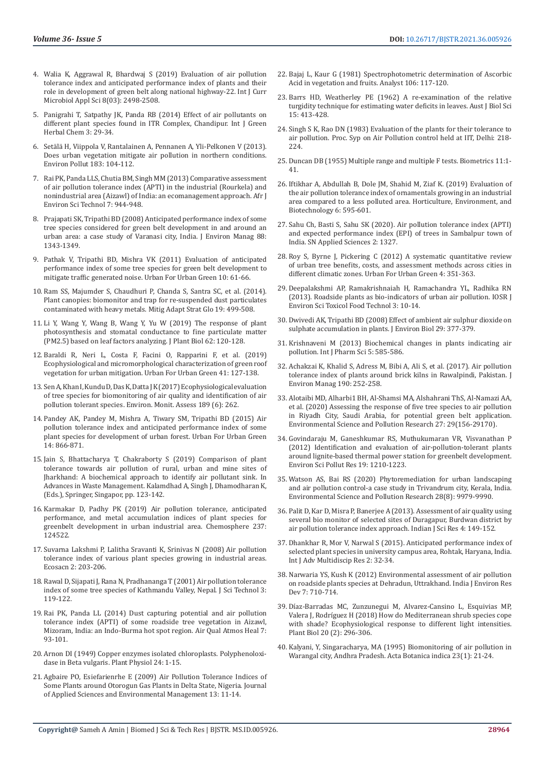- 4. [Walia K, Aggrawal R, Bhardwaj S \(2019\) Evaluation of air pollution](https://www.ijcmas.com/8-3-2019/Kashish%20Walia,%20et%20al.pdf)  [tolerance index and anticipated performance index of plants and their](https://www.ijcmas.com/8-3-2019/Kashish%20Walia,%20et%20al.pdf)  [role in development of green belt along national highway-22. Int J Curr](https://www.ijcmas.com/8-3-2019/Kashish%20Walia,%20et%20al.pdf)  [Microbiol Appl Sci 8\(03\): 2498-2508.](https://www.ijcmas.com/8-3-2019/Kashish%20Walia,%20et%20al.pdf)
- 5. Panigrahi T, Satpathy JK, Panda RB (2014) Effect of air pollutants on different plant species found in ITR Complex, Chandipur. Int J Green Herbal Chem 3: 29-34.
- 6. Setälä H, Viippola V, Rantalainen A, Pennanen A, Yli-Pelkonen V (2013). Does urban vegetation mitigate air pollution in northern conditions. Environ Pollut 183: 104-112.
- 7. [Rai PK, Panda LLS, Chutia BM, Singh MM \(2013\) Comparative assessment](https://www.ajol.info/index.php/ajest/article/view/94959)  [of air pollution tolerance index \(APTI\) in the industrial \(Rourkela\) and](https://www.ajol.info/index.php/ajest/article/view/94959)  [nonindustrial area \(Aizawl\) of India: an ecomanagement approach. Afr J](https://www.ajol.info/index.php/ajest/article/view/94959)  [Environ Sci Technol 7: 944-948.](https://www.ajol.info/index.php/ajest/article/view/94959)
- 8. [Prajapati SK, Tripathi BD \(2008\) Anticipated performance index of some](https://pubmed.ncbi.nlm.nih.gov/17703870/)  [tree species considered for green belt development in and around an](https://pubmed.ncbi.nlm.nih.gov/17703870/)  [urban area: a case study of Varanasi city, India. J Environ Manag 88:](https://pubmed.ncbi.nlm.nih.gov/17703870/)  [1343-1349.](https://pubmed.ncbi.nlm.nih.gov/17703870/)
- 9. [Pathak V, Tripathi BD, Mishra VK \(2011\) Evaluation of anticipated](https://pubag.nal.usda.gov/catalog/552628)  [performance index of some tree species for green belt development to](https://pubag.nal.usda.gov/catalog/552628)  [mitigate traffic generated noise. Urban For Urban Green 10: 61-66.](https://pubag.nal.usda.gov/catalog/552628)
- 10. Ram SS, Majumder S, Chaudhuri P, Chanda S, Santra SC, et al. (2014). Plant canopies: biomonitor and trap for re-suspended dust particulates contaminated with heavy metals. Mitig Adapt Strat Glo 19: 499-508.
- 11. [Li Y, Wang Y, Wang B, Wang Y, Yu W \(2019\) The response of plant](https://link.springer.com/article/10.1007/s12374-018-0254-9)  [photosynthesis and stomatal conductance to fine particulate matter](https://link.springer.com/article/10.1007/s12374-018-0254-9)  [\(PM2.5\) based on leaf factors analyzing. J Plant Biol 62: 120-128.](https://link.springer.com/article/10.1007/s12374-018-0254-9)
- 12. Baraldi R, Neri L, Costa F, Facini O, Rapparini F, et al. (2019) Ecophysiological and micromorphological characterization of green roof vegetation for urban mitigation. Urban For Urban Green 41: 127-138.
- 13. [Sen A, Khan I, Kundu D, Das K, Datta J K \(2017\) Ecophysiological evaluation](https://pubmed.ncbi.nlm.nih.gov/28488227/)  [of tree species for biomonitoring of air quality and identification of air](https://pubmed.ncbi.nlm.nih.gov/28488227/)  [pollution tolerant species. Environ. Monit. Assess 189 \(6\): 262.](https://pubmed.ncbi.nlm.nih.gov/28488227/)
- 14. [Pandey AK, Pandey M, Mishra A, Tiwary SM, Tripathi BD \(2015\) Air](https://www.infona.pl/resource/bwmeta1.element.elsevier-f3b2f3e7-4c92-32ae-b75b-799e89c805f5)  [pollution tolerance index and anticipated performance index of some](https://www.infona.pl/resource/bwmeta1.element.elsevier-f3b2f3e7-4c92-32ae-b75b-799e89c805f5)  [plant species for development of urban forest. Urban For Urban Green](https://www.infona.pl/resource/bwmeta1.element.elsevier-f3b2f3e7-4c92-32ae-b75b-799e89c805f5)  [14: 866-871.](https://www.infona.pl/resource/bwmeta1.element.elsevier-f3b2f3e7-4c92-32ae-b75b-799e89c805f5)
- 15. Jain S, Bhattacharya T, Chakraborty S (2019) Comparison of plant tolerance towards air pollution of rural, urban and mine sites of Jharkhand: A biochemical approach to identify air pollutant sink. In Advances in Waste Management. Kalamdhad A, Singh J, Dhamodharan K, (Eds.), Springer, Singapor, pp. 123-142.
- 16. [Karmakar D, Padhy PK \(2019\) Air pollution tolerance, anticipated](https://pubmed.ncbi.nlm.nih.gov/31401430/)  [performance, and metal accumulation indices of plant species for](https://pubmed.ncbi.nlm.nih.gov/31401430/)  [greenbelt development in urban industrial area. Chemosphere 237:](https://pubmed.ncbi.nlm.nih.gov/31401430/)  [124522.](https://pubmed.ncbi.nlm.nih.gov/31401430/)
- 17. Suvarna Lakshmi P, Lalitha Sravanti K, Srinivas N (2008) Air pollution tolerance index of various plant species growing in industrial areas. Ecosacn 2: 203-206.
- 18. [Rawal D, Sijapati J, Rana N, Pradhananga T \(2001\) Air pollution tolerance](https://www.semanticscholar.org/paper/Air-Pollution-Tolerance-Index-of-Some-Tree-Species-Rawal-Sijapati/ca5f0bf2beb39cb8d6ee0f5dae92fba88baa0bc1)  [index of some tree species of Kathmandu Valley, Nepal. J Sci Technol 3:](https://www.semanticscholar.org/paper/Air-Pollution-Tolerance-Index-of-Some-Tree-Species-Rawal-Sijapati/ca5f0bf2beb39cb8d6ee0f5dae92fba88baa0bc1)  [119-122.](https://www.semanticscholar.org/paper/Air-Pollution-Tolerance-Index-of-Some-Tree-Species-Rawal-Sijapati/ca5f0bf2beb39cb8d6ee0f5dae92fba88baa0bc1)
- 19. Rai PK, Panda LL (2014) Dust capturing potential and air pollution tolerance index (APTI) of some roadside tree vegetation in Aizawl, Mizoram, India: an Indo-Burma hot spot region. Air Qual Atmos Heal 7: 93-101.
- 20. [Arnon DI \(1949\) Copper enzymes isolated chloroplasts. Polyphenoloxi](https://www.ncbi.nlm.nih.gov/pmc/articles/PMC437905/)[dase in Beta vulgaris. Plant Physiol 24: 1-15.](https://www.ncbi.nlm.nih.gov/pmc/articles/PMC437905/)
- 21. [Agbaire PO, Esiefarienrhe E \(2009\) Air Pollution Tolerance Indices of](https://www.ajol.info/index.php/jasem/article/view/55251)  [Some Plants around Otorogun Gas Plants in Delta State, Nigeria. Journal](https://www.ajol.info/index.php/jasem/article/view/55251)  [of Applied Sciences and Environmental Management 13: 11-14.](https://www.ajol.info/index.php/jasem/article/view/55251)
- 22. [Bajaj L, Kaur G \(1981\) Spectrophotometric determination of Ascorbic](https://pubmed.ncbi.nlm.nih.gov/7469027/) [Acid in vegetation and fruits. Analyst 106: 117-120.](https://pubmed.ncbi.nlm.nih.gov/7469027/)
- 23. [Barrs HD, Weatherley PE \(1962\) A re-examination of the relative](https://www.publish.csiro.au/bi/pdf/BI9620413) [turgidity technique for estimating water deficits in leaves. Aust J Biol Sci](https://www.publish.csiro.au/bi/pdf/BI9620413) [15: 413-428.](https://www.publish.csiro.au/bi/pdf/BI9620413)
- 24. Singh S K, Rao DN (1983) Evaluation of the plants for their tolerance to air pollution. Proc. Syp on Air Pollution control held at IIT, Delhi: 218- 224.
- 25. [Duncan DB \(1955\) Multiple range and multiple F tests. Biometrics 11:1-](https://www.jstor.org/stable/3001478) [41.](https://www.jstor.org/stable/3001478)
- 26. [Iftikhar A, Abdullah B, Dole JM, Shahid M, Ziaf K. \(2019\) Evaluation of](https://www.cabdirect.org/cabdirect/abstract/20193391926) [the air pollution tolerance index of ornamentals growing in an industrial](https://www.cabdirect.org/cabdirect/abstract/20193391926) [area compared to a less polluted area. Horticulture, Environment, and](https://www.cabdirect.org/cabdirect/abstract/20193391926) [Biotechnology 6: 595-601.](https://www.cabdirect.org/cabdirect/abstract/20193391926)
- 27. Sahu Ch, Basti S, Sahu SK (2020). Air pollution tolerance index (APTI) and expected performance index (EPI) of trees in Sambalpur town of India. SN Applied Sciences 2: 1327.
- 28. [Roy S, Byrne J, Pickering C \(2012\) A systematic quantitative review](https://eprints.qut.edu.au/111021/) [of urban tree benefits, costs, and assessment methods across cities in](https://eprints.qut.edu.au/111021/) [different climatic zones. Urban For Urban Green 4: 351-363.](https://eprints.qut.edu.au/111021/)
- 29. [Deepalakshmi AP, Ramakrishnaiah H, Ramachandra YL, Radhika RN](http://www.iosrjournals.org/iosr-jestft/papers/vol3-issue3/C0331014.pdf) [\(2013\). Roadside plants as bio-indicators of urban air pollution. IOSR J](http://www.iosrjournals.org/iosr-jestft/papers/vol3-issue3/C0331014.pdf) [Environ Sci Toxicol Food Technol 3: 10-14.](http://www.iosrjournals.org/iosr-jestft/papers/vol3-issue3/C0331014.pdf)
- 30. [Dwivedi AK, Tripathi BD \(2008\) Effect of ambient air sulphur dioxide on](https://pubmed.ncbi.nlm.nih.gov/18972695/) [sulphate accumulation in plants. J Environ Biol 29: 377-379.](https://pubmed.ncbi.nlm.nih.gov/18972695/)
- 31. [Krishnaveni M \(2013\) Biochemical changes in plants indicating air](https://www.researchgate.net/publication/258226465_Biochemical_changes_in_plants_indicating_air_pollution) [pollution. Int J Pharm Sci 5: 585-586.](https://www.researchgate.net/publication/258226465_Biochemical_changes_in_plants_indicating_air_pollution)
- 32. [Achakzai K, Khalid S, Adress M, Bibi A, Ali S, et al. \(2017\). Air pollution](https://pubmed.ncbi.nlm.nih.gov/28061409/) [tolerance index of plants around brick kilns in Rawalpindi, Pakistan. J](https://pubmed.ncbi.nlm.nih.gov/28061409/) [Environ Manag 190: 252-258.](https://pubmed.ncbi.nlm.nih.gov/28061409/)
- 33. Alotaibi MD, Alharbi1 BH, Al-Shamsi MA, Alshahrani ThS, Al-Namazi AA, et al. (2020) Assessing the response of five tree species to air pollution in Riyadh City, Saudi Arabia, for potential green belt application. Environmental Science and Pollution Research 27: 29(156-29170).
- 34. [Govindaraju M, Ganeshkumar RS, Muthukumaran VR, Visvanathan P](https://pubmed.ncbi.nlm.nih.gov/22037806/) [\(2012\) Identification and evaluation of air-pollution-tolerant plants](https://pubmed.ncbi.nlm.nih.gov/22037806/) [around lignite-based thermal power station for greenbelt development.](https://pubmed.ncbi.nlm.nih.gov/22037806/) [Environ Sci Pollut Res 19: 1210-1223.](https://pubmed.ncbi.nlm.nih.gov/22037806/)
- 35. [Watson AS, Bai RS \(2020\) Phytoremediation for urban landscaping](https://pubmed.ncbi.nlm.nih.gov/33164121/) [and air pollution control-a case study in Trivandrum city, Kerala, India.](https://pubmed.ncbi.nlm.nih.gov/33164121/) [Environmental Science and Pollution Research 28\(8\): 9979-9990.](https://pubmed.ncbi.nlm.nih.gov/33164121/)
- 36. [Palit D, Kar D, Misra P, Banerjee A \(2013\). Assessment of air quality using](https://www.researchgate.net/publication/334681182_ASSESSMENT_OF_AIRRQUALITY_USINGGSEVERAL_BIOOMONITORSSOF_SELECTED_SITESSOF_DURGAPURBURDWANNDISTRICT_BY_AIRRPOLLUTION_TOLERANCE_INDEX_APPROACH) [several bio monitor of selected sites of Duragapur, Burdwan district by](https://www.researchgate.net/publication/334681182_ASSESSMENT_OF_AIRRQUALITY_USINGGSEVERAL_BIOOMONITORSSOF_SELECTED_SITESSOF_DURGAPURBURDWANNDISTRICT_BY_AIRRPOLLUTION_TOLERANCE_INDEX_APPROACH) [air pollution tolerance index approach. Indian J Sci Res 4: 149-152.](https://www.researchgate.net/publication/334681182_ASSESSMENT_OF_AIRRQUALITY_USINGGSEVERAL_BIOOMONITORSSOF_SELECTED_SITESSOF_DURGAPURBURDWANNDISTRICT_BY_AIRRPOLLUTION_TOLERANCE_INDEX_APPROACH)
- 37. [Dhankhar R, Mor V, Narwal S \(2015\). Anticipated performance index of](https://www.researchgate.net/publication/315112292_Anticipated_performance_index_of_selected_plant_species_in_University_campus_area_Rohtak_Haryana_India) [selected plant species in university campus area, Rohtak, Haryana, India.](https://www.researchgate.net/publication/315112292_Anticipated_performance_index_of_selected_plant_species_in_University_campus_area_Rohtak_Haryana_India) [Int J Adv Multidiscip Res 2: 32-34.](https://www.researchgate.net/publication/315112292_Anticipated_performance_index_of_selected_plant_species_in_University_campus_area_Rohtak_Haryana_India)
- 38. Narwaria YS, Kush K (2012) Environmental assessment of air pollution on roadside plants species at Dehradun, Uttrakhand. India J Environ Res Dev 7: 710-714.
- 39. [Díaz-Barradas MC, Zunzunegui M, Alvarez-Cansino L, Esquivias MP,](https://www.researchgate.net/publication/320997855_How_do_Mediterranean_shrub_species_cope_with_shade_Ecophysiological_response_to_different_light_intensities) [Valera J, Rodríguez H \(2018\) How do Mediterranean shrub species cope](https://www.researchgate.net/publication/320997855_How_do_Mediterranean_shrub_species_cope_with_shade_Ecophysiological_response_to_different_light_intensities) [with shade? Ecophysiological response to different light intensities.](https://www.researchgate.net/publication/320997855_How_do_Mediterranean_shrub_species_cope_with_shade_Ecophysiological_response_to_different_light_intensities) [Plant Biol 20 \(2\): 296-306.](https://www.researchgate.net/publication/320997855_How_do_Mediterranean_shrub_species_cope_with_shade_Ecophysiological_response_to_different_light_intensities)
- 40. Kalyani, Y, Singaracharya, MA (1995) Biomonitoring of air pollution in Warangal city, Andhra Pradesh. Acta Botanica indica 23(1): 21-24.